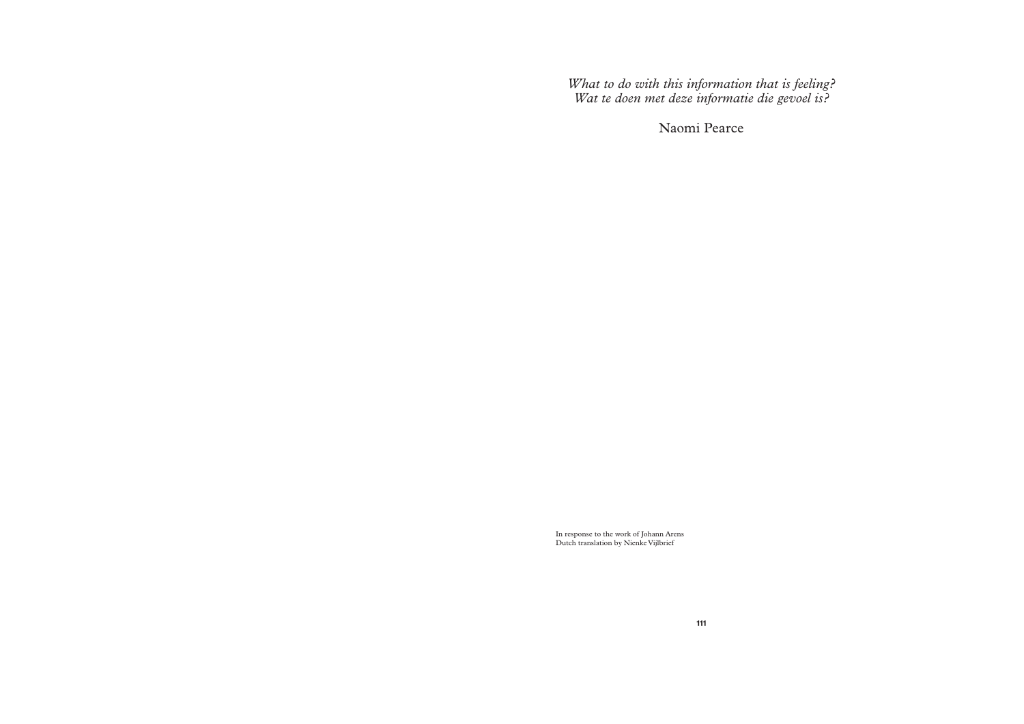*What to do with this information that is feeling? Wat te doen met deze informatie die gevoel is?* 

Naomi Pearce

In response to the work of Johann Arens Dutch translation by Nienke Vijlbrief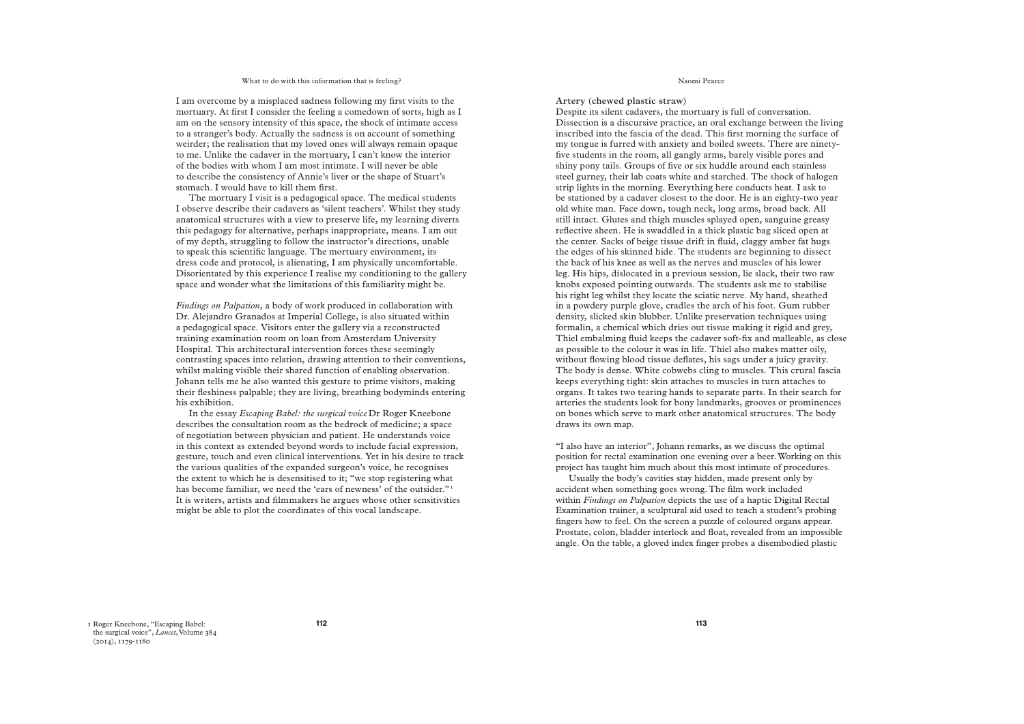## What to do with this information that is feeling?

I am overcome by a misplaced sadness following my first visits to the mortuary. At first I consider the feeling a comedown of sorts, high as I am on the sensory intensity of this space, the shock of intimate access to a stranger's body. Actually the sadness is on account of something weirder; the realisation that my loved ones will always remain opaque to me. Unlike the cadaver in the mortuary, I can't know the interior of the bodies with whom I am most intimate. I will never be able to describe the consistency of Annie's liver or the shape of Stuart's stomach. I would have to kill them first.

The mortuary I visit is a pedagogical space. The medical students I observe describe their cadavers as 'silent teachers'. Whilst they study anatomical structures with a view to preserve life, my learning diverts this pedagogy for alternative, perhaps inappropriate, means. I am out of my depth, struggling to follow the instructor's directions, unable to speak this scientific language. The mortuary environment, its dress code and protocol, is alienating, I am physically uncomfortable. Disorientated by this experience I realise my conditioning to the gallery space and wonder what the limitations of this familiarity might be.

*Findings on Palpation*, a body of work produced in collaboration with Dr. Alejandro Granados at Imperial College, is also situated within a pedagogical space. Visitors enter the gallery via a reconstructed training examination room on loan from Amsterdam University Hospital. This architectural intervention forces these seemingly contrasting spaces into relation, drawing attention to their conventions, whilst making visible their shared function of enabling observation. Johann tells me he also wanted this gesture to prime visitors, making their fleshiness palpable; they are living, breathing bodyminds entering his exhibition.

In the essay *Escaping Babel: the surgical voice* Dr Roger Kneebone describes the consultation room as the bedrock of medicine; a space of negotiation between physician and patient. He understands voice in this context as extended beyond words to include facial expression, gesture, touch and even clinical interventions. Yet in his desire to track the various qualities of the expanded surgeon's voice, he recognises the extent to which he is desensitised to it; "we stop registering what has become familiar, we need the 'ears of newness' of the outsider."<sup>1</sup> It is writers, artists and filmmakers he argues whose other sensitivities might be able to plot the coordinates of this vocal landscape.

Naomi Pearce

# **Artery (chewed plastic straw)**

Despite its silent cadavers, the mortuary is full of conversation. Dissection is a discursive practice, an oral exchange between the living inscribed into the fascia of the dead. This first morning the surface of my tongue is furred with anxiety and boiled sweets. There are ninetyfive students in the room, all gangly arms, barely visible pores and shiny pony tails. Groups of five or six huddle around each stainless steel gurney, their lab coats white and starched. The shock of halogen strip lights in the morning. Everything here conducts heat. I ask to be stationed by a cadaver closest to the door. He is an eighty-two year old white man. Face down, tough neck, long arms, broad back. All still intact. Glutes and thigh muscles splayed open, sanguine greasy reflective sheen. He is swaddled in a thick plastic bag sliced open at the center. Sacks of beige tissue drift in fluid, claggy amber fat hugs the edges of his skinned hide. The students are beginning to dissect the back of his knee as well as the nerves and muscles of his lower leg. His hips, dislocated in a previous session, lie slack, their two raw knobs exposed pointing outwards. The students ask me to stabilise his right leg whilst they locate the sciatic nerve. My hand, sheathed in a powdery purple glove, cradles the arch of his foot. Gum rubber density, slicked skin blubber. Unlike preservation techniques using formalin, a chemical which dries out tissue making it rigid and grey, Thiel embalming fluid keeps the cadaver soft-fix and malleable, as close as possible to the colour it was in life. Thiel also makes matter oily, without flowing blood tissue deflates, his sags under a juicy gravity. The body is dense. White cobwebs cling to muscles. This crural fascia keeps everything tight: skin attaches to muscles in turn attaches to organs. It takes two tearing hands to separate parts. In their search for arteries the students look for bony landmarks, grooves or prominences on bones which serve to mark other anatomical structures. The body draws its own map.

"I also have an interior", Johann remarks, as we discuss the optimal position for rectal examination one evening over a beer. Working on this project has taught him much about this most intimate of procedures.

Usually the body's cavities stay hidden, made present only by accident when something goes wrong. The film work included within *Findings on Palpation* depicts the use of a haptic Digital Rectal Examination trainer, a sculptural aid used to teach a student's probing fingers how to feel. On the screen a puzzle of coloured organs appear. Prostate, colon, bladder interlock and float, revealed from an impossible angle. On the table, a gloved index finger probes a disembodied plastic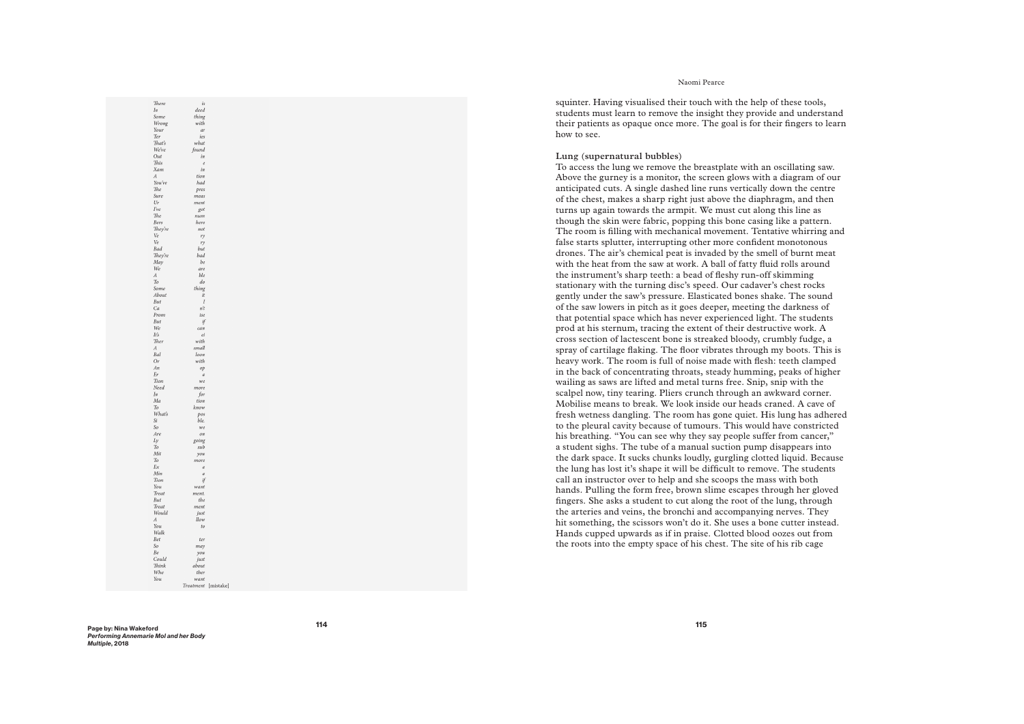# Naomi Pearce

squinter. Having visualised their touch with the help of these tools, students must learn to remove the insight they provide and understand their patients as opaque once more. The goal is for their fingers to learn how to see.

# Lung (supernatural bubbles)

To access the lung we remove the breastplate with an oscillating saw. Above the gurney is a monitor, the screen glows with a diagram of our anticipated cuts. A single dashed line runs vertically down the centre of the chest, makes a sharp right just above the diaphragm, and then turns up again towards the armpit. We must cut along this line as though the skin were fabric, popping this bone casing like a pattern. The room is filling with mechanical movement. Tentative whirring and false starts splutter, interrupting other more confident monotonous drones. The air's chemical peat is invaded by the smell of burnt meat with the heat from the saw at work. A ball of fatty fluid rolls around the instrument's sharp teeth: a bead of fleshy run-off skimming stationary with the turning disc's speed. Our cadaver's chest rocks gently under the saw's pressure. Elasticated bones shake. The sound of the saw lowers in pitch as it goes deeper, meeting the darkness of that potential space which has never experienced light. The students prod at his sternum, tracing the extent of their destructive work. A cross section of lactescent bone is streaked bloody, crumbly fudge, a spray of cartilage flaking. The floor vibrates through my boots. This is heavy work. The room is full of noise made with flesh: teeth clamped in the back of concentrating throats, steady humming, peaks of higher wailing as saws are lifted and metal turns free. Snip, snip with the scalpel now, tiny tearing. Pliers crunch through an awkward corner. Mobilise means to break. We look inside our heads craned. A cave of fresh wetness dangling. The room has gone quiet. His lung has adhered to the pleural cavity because of tumours. This would have constricted his breathing. "You can see why they say people suffer from cancer," a student sighs. The tube of a manual suction pump disappears into the dark space. It sucks chunks loudly, gurgling clotted liquid. Because the lung has lost it's shape it will be difficult to remove. The students call an instructor over to help and she scoops the mass with both hands. Pulling the form free, brown slime escapes through her gloved fingers. She asks a student to cut along the root of the lung, through the arteries and veins, the bronchi and accompanying nerves. They hit something, the scissors won't do it. She uses a bone cutter instead. Hands cupped upwards as if in praise. Clotted blood oozes out from the roots into the empty space of his chest. The site of his rib cage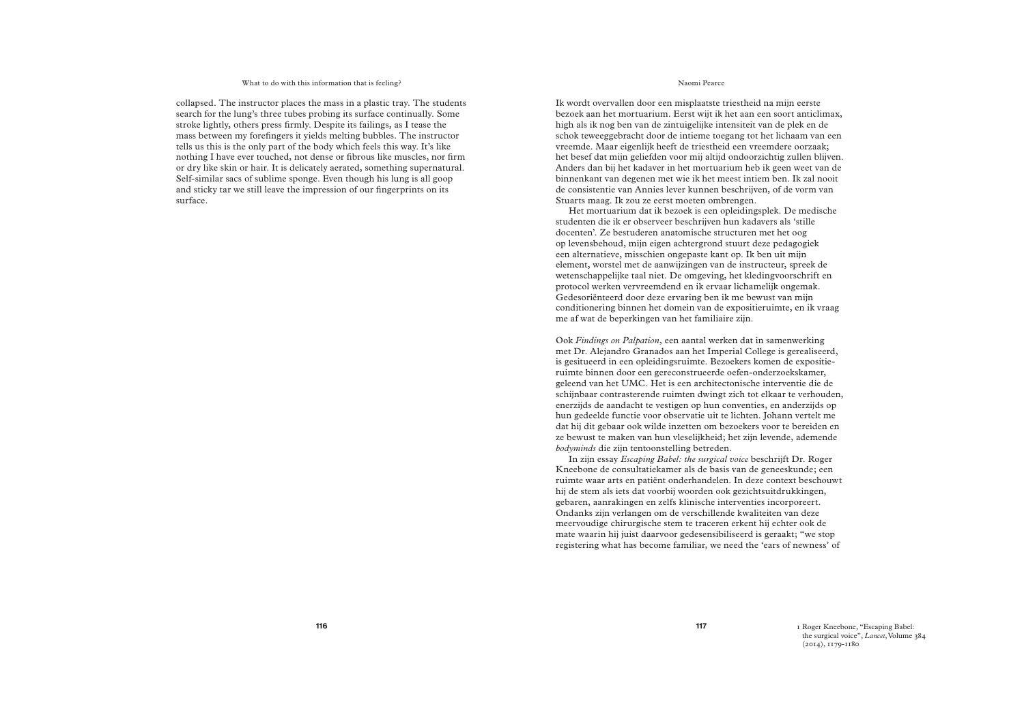## What to do with this information that is feeling?

collapsed. The instructor places the mass in a plastic tray. The students search for the lung's three tubes probing its surface continually. Some stroke lightly, others press firmly. Despite its failings, as I tease the mass between my forefingers it yields melting bubbles. The instructor tells us this is the only part of the body which feels this way. It's like nothing I have ever touched, not dense or fibrous like muscles, nor firm or dry like skin or hair. It is delicately aerated, something supernatural. Self-similar sacs of sublime sponge. Even though his lung is all goop and sticky tar we still leave the impression of our fingerprints on its surface.

# Naomi Pearce

Ik wordt overvallen door een misplaatste triestheid na mijn eerste bezoek aan het mortuarium. Eerst wijt ik het aan een soort anticlimax, high als ik nog ben van de zintuigelijke intensiteit van de plek en de schok teweeggebracht door de intieme toegang tot het lichaam van een vreemde. Maar eigenlijk heeft de triestheid een vreemdere oorzaak; het besef dat mijn geliefden voor mij altijd ondoorzichtig zullen blijven. Anders dan bij het kadaver in het mortuarium heb ik geen weet van de binnenkant van degenen met wie ik het meest intiem ben. Ik zal nooit de consistentie van Annies lever kunnen beschrijven, of de vorm van Stuarts maag. Ik zou ze eerst moeten ombrengen.

Het mortuarium dat ik bezoek is een opleidingsplek. De medische studenten die ik er observeer beschrijven hun kadavers als 'stille docenten'. Ze bestuderen anatomische structuren met het oog op levensbehoud, mijn eigen achtergrond stuurt deze pedagogiek een alternatieve, misschien ongepaste kant op. Ik ben uit mijn element, worstel met de aanwijzingen van de instructeur, spreek de wetenschappelijke taal niet. De omgeving, het kledingvoorschrift en protocol werken vervreemdend en ik ervaar lichamelijk ongemak. Gedesoriënteerd door deze ervaring ben ik me bewust van mijn conditionering binnen het domein van de expositieruimte, en ik vraag me af wat de beperkingen van het familiaire zijn.

Ook *Findings on Palpation*, een aantal werken dat in samenwerking met Dr. Alejandro Granados aan het Imperial College is gerealiseerd, is gesitueerd in een opleidingsruimte. Bezoekers komen de expositieruimte binnen door een gereconstrueerde oefen-onderzoekskamer, geleend van het UMC. Het is een architectonische interventie die de schijnbaar contrasterende ruimten dwingt zich tot elkaar te verhouden, enerzijds de aandacht te vestigen op hun conventies, en anderzijds op hun gedeelde functie voor observatie uit te lichten. Johann vertelt me dat hij dit gebaar ook wilde inzetten om bezoekers voor te bereiden en ze bewust te maken van hun vleselijkheid; het zijn levende, ademende *bodyminds* die zijn tentoonstelling betreden.

In zijn essay *Escaping Babel: the surgical voice* beschrijft Dr. Roger Kneebone de consultatiekamer als de basis van de geneeskunde; een ruimte waar arts en patiënt onderhandelen. In deze context beschouwt hij de stem als iets dat voorbij woorden ook gezichtsuitdrukkingen, gebaren, aanrakingen en zelfs klinische interventies incorporeert. Ondanks zijn verlangen om de verschillende kwaliteiten van deze meervoudige chirurgische stem te traceren erkent hij echter ook de mate waarin hij juist daarvoor gedesensibiliseerd is geraakt; "we stop registering what has become familiar, we need the 'ears of newness' of

1 Roger Kneebone, "Escaping Babel: the surgical voice", *Lancet*, Volume 384 (2014), 1179-1180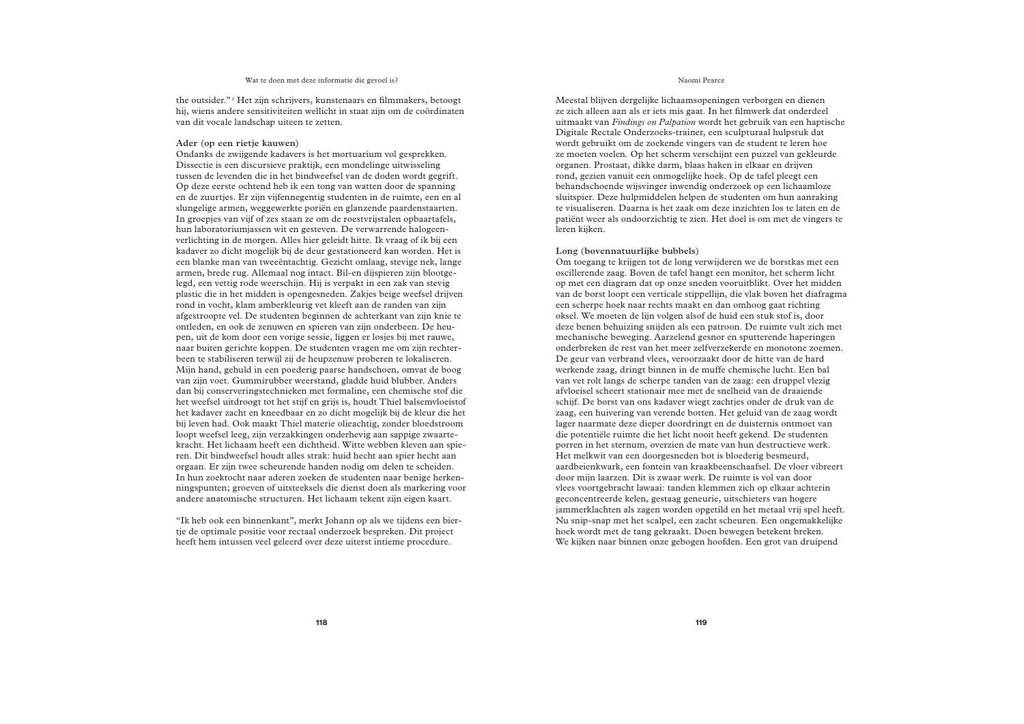#### Wat te doen met deze informatie die gevoel is?

the outsider."<sup>1</sup> Het zijn schrijvers, kunstenaars en filmmakers, betoogt hij, wiens andere sensitiviteiten wellicht in staat zijn om de coördinaten van dit vocale landschap uiteen te zetten.

## **Ader (op een rietje kauwen)**

Ondanks de zwijgende kadavers is het mortuarium vol gesprekken. Dissectie is een discursieve praktijk, een mondelinge uitwisseling tussen de levenden die in het bindweefsel van de doden wordt gegrift. Op deze eerste ochtend heb ik een tong van watten door de spanning en de zuurtjes. Er zijn vijfennegentig studenten in de ruimte, een en al slungelige armen, weggewerkte poriën en glanzende paardenstaarten. In groepjes van vijf of zes staan ze om de roestvrijstalen opbaartafels, hun laboratoriumjassen wit en gesteven. De verwarrende halogeenverlichting in de morgen. Alles hier geleidt hitte. Ik vraag of ik bij een kadaver zo dicht mogelijk bij de deur gestationeerd kan worden. Het is een blanke man van tweeëntachtig. Gezicht omlaag, stevige nek, lange armen, brede rug. Allemaal nog intact. Bil-en dijspieren zijn blootgelegd, een vettig rode weerschijn. Hij is verpakt in een zak van stevig plastic die in het midden is opengesneden. Zakjes beige weefsel drijven rond in vocht, klam amberkleurig vet kleeft aan de randen van zijn afgestroopte vel. De studenten beginnen de achterkant van zijn knie te ontleden, en ook de zenuwen en spieren van zijn onderbeen. De heupen, uit de kom door een vorige sessie, liggen er losjes bij met rauwe, naar buiten gerichte koppen. De studenten vragen me om zijn rechterbeen te stabiliseren terwijl zij de heupzenuw proberen te lokaliseren. Mijn hand, gehuld in een poederig paarse handschoen, omvat de boog van zijn voet. Gummirubber weerstand, gladde huid blubber. Anders dan bij conserveringstechnieken met formaline, een chemische stof die het weefsel uitdroogt tot het stijf en grijs is, houdt Thiel balsemvloeistof het kadaver zacht en kneedbaar en zo dicht mogelijk bij de kleur die het bij leven had. Ook maakt Thiel materie olieachtig, zonder bloedstroom loopt weefsel leeg, zijn verzakkingen onderhevig aan sappige zwaartekracht. Het lichaam heeft een dichtheid. Witte webben kleven aan spieren. Dit bindweefsel houdt alles strak: huid hecht aan spier hecht aan orgaan. Er zijn twee scheurende handen nodig om delen te scheiden. In hun zoektocht naar aderen zoeken de studenten naar benige herkenningspunten; groeven of uitsteeksels die dienst doen als markering voor andere anatomische structuren. Het lichaam tekent zijn eigen kaart.

"Ik heb ook een binnenkant", merkt Johann op als we tijdens een biertje de optimale positie voor rectaal onderzoek bespreken. Dit project heeft hem intussen veel geleerd over deze uiterst intieme procedure.

## Naomi Pearce

Meestal blijven dergelijke lichaamsopeningen verborgen en dienen ze zich alleen aan als er iets mis gaat. In het filmwerk dat onderdeel uitmaakt van *Findings on Palpation* wordt het gebruik van een haptische Digitale Rectale Onderzoeks-trainer, een sculpturaal hulpstuk dat wordt gebruikt om de zoekende vingers van de student te leren hoe ze moeten voelen. Op het scherm verschijnt een puzzel van gekleurde organen. Prostaat, dikke darm, blaas haken in elkaar en drijven rond, gezien vanuit een onmogelijke hoek. Op de tafel pleegt een behandschoende wijsvinger inwendig onderzoek op een lichaamloze sluitspier. Deze hulpmiddelen helpen de studenten om hun aanraking te visualiseren. Daarna is het zaak om deze inzichten los te laten en de patiënt weer als ondoorzichtig te zien. Het doel is om met de vingers te leren kijken.

# **Long (bovennatuurlijke bubbels)**

Om toegang te krijgen tot de long verwijderen we de borstkas met een oscillerende zaag. Boven de tafel hangt een monitor, het scherm licht op met een diagram dat op onze sneden vooruitblikt. Over het midden van de borst loopt een verticale stippellijn, die vlak boven het diafragma een scherpe hoek naar rechts maakt en dan omhoog gaat richting oksel. We moeten de lijn volgen alsof de huid een stuk stof is, door deze benen behuizing snijden als een patroon. De ruimte vult zich met mechanische beweging. Aarzelend gesnor en sputterende haperingen onderbreken de rest van het meer zelfverzekerde en monotone zoemen. De geur van verbrand vlees, veroorzaakt door de hitte van de hard werkende zaag, dringt binnen in de muffe chemische lucht. Een bal van vet rolt langs de scherpe tanden van de zaag: een druppel vlezig afvloeisel scheert stationair mee met de snelheid van de draaiende schijf. De borst van ons kadaver wiegt zachtjes onder de druk van de zaag, een huivering van verende botten. Het geluid van de zaag wordt lager naarmate deze dieper doordringt en de duisternis ontmoet van die potentiële ruimte die het licht nooit heeft gekend. De studenten porren in het sternum, overzien de mate van hun destructieve werk. Het melkwit van een doorgesneden bot is bloederig besmeurd, aardbeienkwark, een fontein van kraakbeenschaafsel. De vloer vibreert door mijn laarzen. Dit is zwaar werk. De ruimte is vol van door vlees voortgebracht lawaai: tanden klemmen zich op elkaar achterin geconcentreerde kelen, gestaag geneurie, uitschieters van hogere jammerklachten als zagen worden opgetild en het metaal vrij spel heeft. Nu snip-snap met het scalpel, een zacht scheuren. Een ongemakkelijke hoek wordt met de tang gekraakt. Doen bewegen betekent breken. We kijken naar binnen onze gebogen hoofden. Een grot van druipend